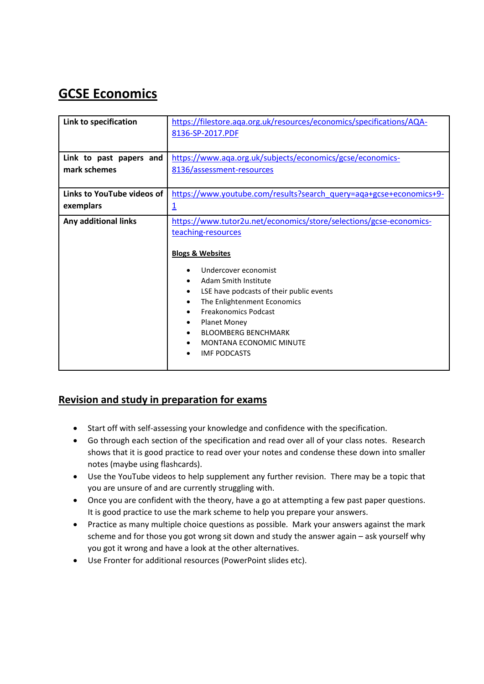# **GCSE Economics**

| Link to specification      | https://filestore.aga.org.uk/resources/economics/specifications/AQA-<br>8136-SP-2017.PDF                                                                                                                                                                                                                                                                                                                  |
|----------------------------|-----------------------------------------------------------------------------------------------------------------------------------------------------------------------------------------------------------------------------------------------------------------------------------------------------------------------------------------------------------------------------------------------------------|
| Link to past papers and    | https://www.aqa.org.uk/subjects/economics/gcse/economics-                                                                                                                                                                                                                                                                                                                                                 |
| mark schemes               | 8136/assessment-resources                                                                                                                                                                                                                                                                                                                                                                                 |
| Links to YouTube videos of | https://www.youtube.com/results?search_query=aqa+gcse+economics+9-                                                                                                                                                                                                                                                                                                                                        |
| exemplars                  | $\overline{1}$                                                                                                                                                                                                                                                                                                                                                                                            |
| Any additional links       | https://www.tutor2u.net/economics/store/selections/gcse-economics-<br>teaching-resources<br><b>Blogs &amp; Websites</b><br>Undercover economist<br>Adam Smith Institute<br>LSE have podcasts of their public events<br>٠<br>The Enlightenment Economics<br>٠<br><b>Freakonomics Podcast</b><br><b>Planet Money</b><br><b>BLOOMBERG BENCHMARK</b><br><b>MONTANA ECONOMIC MINUTE</b><br><b>IMF PODCASTS</b> |

## **Revision and study in preparation for exams**

- Start off with self-assessing your knowledge and confidence with the specification.
- Go through each section of the specification and read over all of your class notes. Research shows that it is good practice to read over your notes and condense these down into smaller notes (maybe using flashcards).
- Use the YouTube videos to help supplement any further revision. There may be a topic that you are unsure of and are currently struggling with.
- Once you are confident with the theory, have a go at attempting a few past paper questions. It is good practice to use the mark scheme to help you prepare your answers.
- Practice as many multiple choice questions as possible. Mark your answers against the mark scheme and for those you got wrong sit down and study the answer again – ask yourself why you got it wrong and have a look at the other alternatives.
- Use Fronter for additional resources (PowerPoint slides etc).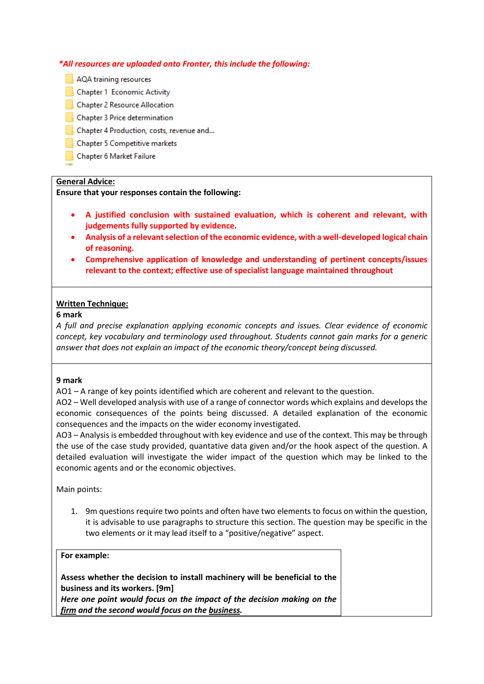#### *\*All resources are uploaded onto Fronter, this include the following:*

- AQA training resources
- Chapter 1 Economic Activity
- Chapter 2 Resource Allocation
- Chapter 3 Price determination
- Chapter 4 Production, costs, revenue and...
- Chapter 5 Competitive markets
- Chapter 6 Market Failure

#### **General Advice:**

#### **Ensure that your responses contain the following:**

- **A justified conclusion with sustained evaluation, which is coherent and relevant, with judgements fully supported by evidence.**
- **Analysis of a relevant selection of the economic evidence, with a well-developed logical chain of reasoning.**
- **Comprehensive application of knowledge and understanding of pertinent concepts/issues relevant to the context; effective use of specialist language maintained throughout**

#### **Written Technique:**

#### **6 mark**

*A full and precise explanation applying economic concepts and issues. Clear evidence of economic concept, key vocabulary and terminology used throughout. Students cannot gain marks for a generic answer that does not explain an impact of the economic theory/concept being discussed.*

#### **9 mark**

AO1 – A range of key points identified which are coherent and relevant to the question.

AO2 – Well developed analysis with use of a range of connector words which explains and develops the economic consequences of the points being discussed. A detailed explanation of the economic consequences and the impacts on the wider economy investigated.

AO3 – Analysis is embedded throughout with key evidence and use of the context. This may be through the use of the case study provided, quantative data given and/or the hook aspect of the question. A detailed evaluation will investigate the wider impact of the question which may be linked to the economic agents and or the economic objectives.

Main points:

1. 9m questions require two points and often have two elements to focus on within the question, it is advisable to use paragraphs to structure this section. The question may be specific in the two elements or it may lead itself to a "positive/negative" aspect.

#### **For example:**

**Assess whether the decision to install machinery will be beneficial to the business and its workers. [9m]**

*Here one point would focus on the impact of the decision making on the firm and the second would focus on the business.*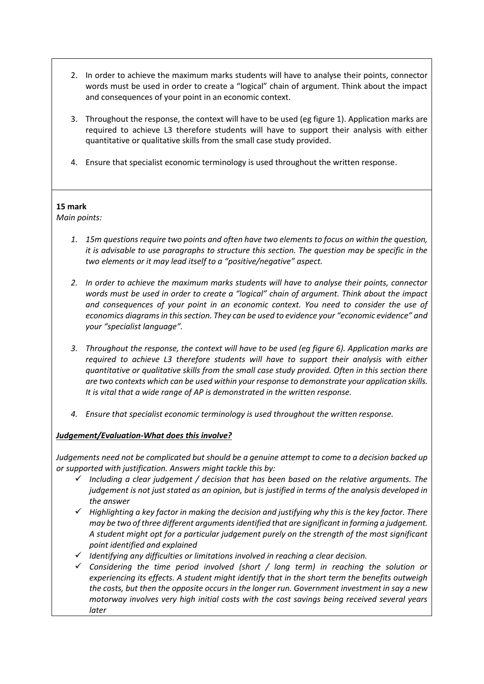- 2. In order to achieve the maximum marks students will have to analyse their points, connector words must be used in order to create a "logical" chain of argument. Think about the impact and consequences of your point in an economic context.
- 3. Throughout the response, the context will have to be used (eg figure 1). Application marks are required to achieve L3 therefore students will have to support their analysis with either quantitative or qualitative skills from the small case study provided.
- 4. Ensure that specialist economic terminology is used throughout the written response.

#### **15 mark**

*Main points:*

- *1. 15m questions require two points and often have two elements to focus on within the question, it is advisable to use paragraphs to structure this section. The question may be specific in the two elements or it may lead itself to a "positive/negative" aspect.*
- *2. In order to achieve the maximum marks students will have to analyse their points, connector words must be used in order to create a "logical" chain of argument. Think about the impact and consequences of your point in an economic context. You need to consider the use of economics diagrams in this section. They can be used to evidence your "economic evidence" and your "specialist language".*
- *3. Throughout the response, the context will have to be used (eg figure 6). Application marks are required to achieve L3 therefore students will have to support their analysis with either quantitative or qualitative skills from the small case study provided. Often in this section there are two contexts which can be used within your response to demonstrate your application skills. It is vital that a wide range of AP is demonstrated in the written response.*
- *4. Ensure that specialist economic terminology is used throughout the written response.*

### *Judgement/Evaluation-What does this involve?*

*Judgements need not be complicated but should be a genuine attempt to come to a decision backed up or supported with justification. Answers might tackle this by:*

- $\checkmark$  Including a clear judgement / decision that has been based on the relative arguments. The *judgement is not just stated as an opinion, but is justified in terms of the analysis developed in the answer*
- *Highlighting a key factor in making the decision and justifying why this is the key factor. There may be two of three different arguments identified that are significant in forming a judgement. A student might opt for a particular judgement purely on the strength of the most significant point identified and explained*
- *Identifying any difficulties or limitations involved in reaching a clear decision.*
- *Considering the time period involved (short / long term) in reaching the solution or experiencing its effects. A student might identify that in the short term the benefits outweigh the costs, but then the opposite occurs in the longer run. Government investment in say a new motorway involves very high initial costs with the cost savings being received several years later*